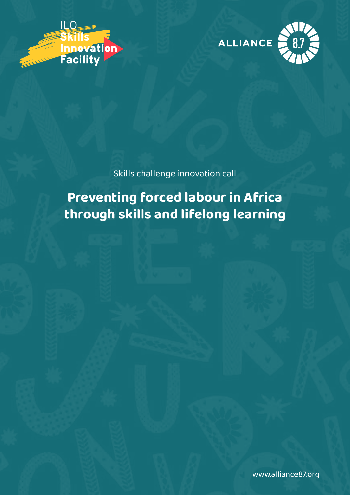



Skills challenge innovation call

# **Preventing forced labour in Africa through skills and lifelong learning**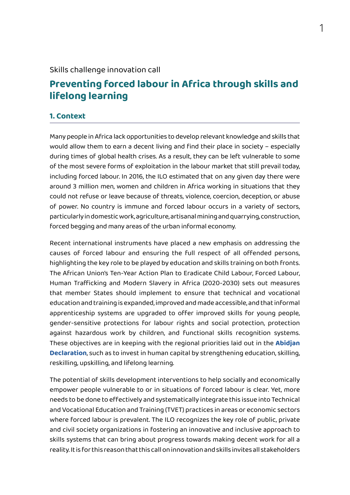#### Skills challenge innovation call

## **Preventing forced labour in Africa through skills and lifelong learning**

#### **1. Context**

Many people in Africa lack opportunities to develop relevant knowledge and skills that would allow them to earn a decent living and find their place in society – especially during times of global health crises. As a result, they can be left vulnerable to some of the most severe forms of exploitation in the labour market that still prevail today, including forced labour. In 2016, the ILO estimated that on any given day there were around 3 million men, women and children in Africa working in situations that they could not refuse or leave because of threats, violence, coercion, deception, or abuse of power. No country is immune and forced labour occurs in a variety of sectors, particularly in domestic work, agriculture, artisanal mining and quarrying, construction, forced begging and many areas of the urban informal economy.

Recent international instruments have placed a new emphasis on addressing the causes of forced labour and ensuring the full respect of all offended persons, highlighting the key role to be played by education and skills training on both fronts. The African Union's Ten-Year Action Plan to Eradicate Child Labour, Forced Labour, Human Trafficking and Modern Slavery in Africa (2020-2030) sets out measures that member States should implement to ensure that technical and vocational education and training is expanded, improved and made accessible, and that informal apprenticeship systems are upgraded to offer improved skills for young people, gender-sensitive protections for labour rights and social protection, protection against hazardous work by children, and functional skills recognition systems. These objectives are in keeping with the regional priorities laid out in the **[Abidjan](https://www.ilo.org/wcmsp5/groups/public/---ed_norm/---relconf/documents/meetingdocument/wcms_731646.pdf) [Declaration](https://www.ilo.org/wcmsp5/groups/public/---ed_norm/---relconf/documents/meetingdocument/wcms_731646.pdf)**, such as to invest in human capital by strengthening education, skilling, reskilling, upskilling, and lifelong learning.

The potential of skills development interventions to help socially and economically empower people vulnerable to or in situations of forced labour is clear. Yet, more needs to be done to effectively and systematically integrate this issue into Technical and Vocational Education and Training (TVET) practices in areas or economic sectors where forced labour is prevalent. The ILO recognizes the key role of public, private and civil society organizations in fostering an innovative and inclusive approach to skills systems that can bring about progress towards making decent work for all a reality. It is for this reason that this call on innovation and skills invites all stakeholders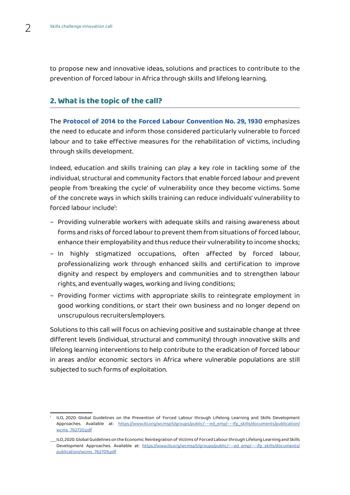to propose new and innovative ideas, solutions and practices to contribute to the prevention of forced labour in Africa through skills and lifelong learning.

#### **2. What is the topic of the call?**

The **[Protocol of 2014 to the Forced Labour Convention No. 29, 1930](https://www.ilo.org/dyn/normlex/en/f?p=NORMLEXPUB:12100:0::NO::P12100_ILO_CODE:P029)** emphasizes the need to educate and inform those considered particularly vulnerable to forced labour and to take effective measures for the rehabilitation of victims, including through skills development.

Indeed, education and skills training can play a key role in tackling some of the individual, structural and community factors that enable forced labour and prevent people from 'breaking the cycle' of vulnerability once they become victims. Some of the concrete ways in which skills training can reduce individuals' vulnerability to forced labour include<sup>1</sup>:

- Providing vulnerable workers with adequate skills and raising awareness about forms and risks of forced labour to prevent them from situations of forced labour, enhance their employability and thus reduce their vulnerability to income shocks;
- In highly stigmatized occupations, often affected by forced labour, professionalizing work through enhanced skills and certification to improve dignity and respect by employers and communities and to strengthen labour rights, and eventually wages, working and living conditions;
- Providing former victims with appropriate skills to reintegrate employment in good working conditions, or start their own business and no longer depend on unscrupulous recruiters/employers.

Solutions to this call will focus on achieving positive and sustainable change at three different levels (individual, structural and community) through innovative skills and lifelong learning interventions to help contribute to the eradication of forced labour in areas and/or economic sectors in Africa where vulnerable populations are still subjected to such forms of exploitation.

<sup>1</sup> ILO, 2020. Global Guidelines on the Prevention of Forced Labour through Lifelong Learning and Skills Development Approaches. Available at: [https://www.ilo.org/wcmsp5/groups/public/---ed\\_emp/---ifp\\_skills/documents/publication/](https://www.ilo.org/wcmsp5/groups/public/---ed_emp/---ifp_skills/documents/publication/wcms_762720.pdf) [wcms\\_762720.pdf](https://www.ilo.org/wcmsp5/groups/public/---ed_emp/---ifp_skills/documents/publication/wcms_762720.pdf)

ILO, 2020. Global Guidelines on the Economic Reintegration of Victims of Forced Labour through Lifelong Learning and Skills Development Approaches. Available at: [https://www.ilo.org/wcmsp5/groups/public/---ed\\_emp/---ifp\\_skills/documents/](https://www.ilo.org/wcmsp5/groups/public/---ed_emp/---ifp_skills/documents/publication/wcms_762720.pdf) [publication/wcms\\_762709.pdf](https://www.ilo.org/wcmsp5/groups/public/---ed_emp/---ifp_skills/documents/publication/wcms_762720.pdf)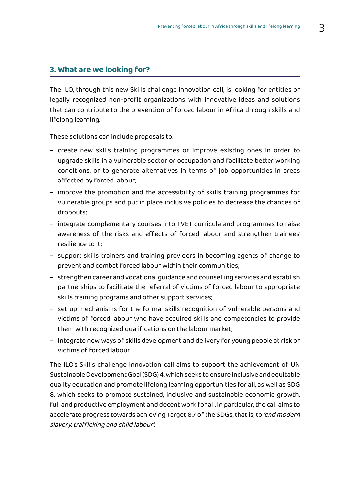#### **3. What are we looking for?**

The ILO, through this new Skills challenge innovation call, is looking for entities or legally recognized non-profit organizations with innovative ideas and solutions that can contribute to the prevention of forced labour in Africa through skills and lifelong learning.

These solutions can include proposals to:

- create new skills training programmes or improve existing ones in order to upgrade skills in a vulnerable sector or occupation and facilitate better working conditions, or to generate alternatives in terms of job opportunities in areas affected by forced labour;
- improve the promotion and the accessibility of skills training programmes for vulnerable groups and put in place inclusive policies to decrease the chances of dropouts;
- integrate complementary courses into TVET curricula and programmes to raise awareness of the risks and effects of forced labour and strengthen trainees' resilience to it;
- support skills trainers and training providers in becoming agents of change to prevent and combat forced labour within their communities;
- strengthen career and vocational guidance and counselling services and establish partnerships to facilitate the referral of victims of forced labour to appropriate skills training programs and other support services;
- set up mechanisms for the formal skills recognition of vulnerable persons and victims of forced labour who have acquired skills and competencies to provide them with recognized qualifications on the labour market;
- Integrate new ways of skills development and delivery for young people at risk or victims of forced labour.

The ILO's Skills challenge innovation call aims to support the achievement of UN Sustainable Development Goal (SDG) 4, which seeks to ensure inclusive and equitable quality education and promote lifelong learning opportunities for all, as well as SDG 8, which seeks to promote sustained, inclusive and sustainable economic growth, full and productive employment and decent work for all. In particular, the call aims to accelerate progress towards achieving Target 8.7 of the SDGs, that is, to 'end modern slavery, trafficking and child labour'.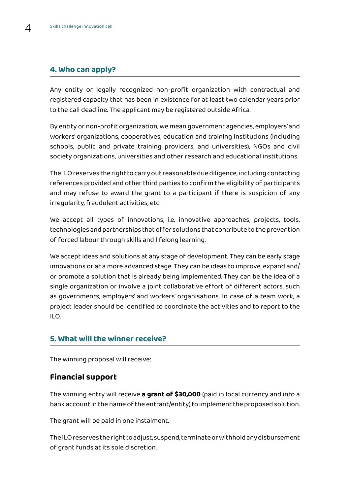## **4. Who can apply?**

Any entity or legally recognized non-profit organization with contractual and registered capacity that has been in existence for at least two calendar years prior to the call deadline. The applicant may be registered outside Africa.

By entity or non-profit organization, we mean government agencies, employers' and workers' organizations, cooperatives, education and training institutions (including schools, public and private training providers, and universities), NGOs and civil society organizations, universities and other research and educational institutions.

The ILO reserves the right to carry out reasonable due diligence, including contacting references provided and other third parties to confirm the eligibility of participants and may refuse to award the grant to a participant if there is suspicion of any irregularity, fraudulent activities, etc.

We accept all types of innovations, i.e. innovative approaches, projects, tools, technologies and partnerships that offer solutions that contribute to the prevention of forced labour through skills and lifelong learning.

We accept ideas and solutions at any stage of development. They can be early stage innovations or at a more advanced stage. They can be ideas to improve, expand and/ or promote a solution that is already being implemented. They can be the idea of a single organization or involve a joint collaborative effort of different actors, such as governments, employers' and workers' organisations. In case of a team work, a project leader should be identified to coordinate the activities and to report to the ILO.

### **5. What will the winner receive?**

The winning proposal will receive:

## **Financial support**

The winning entry will receive **a grant of \$30,000** (paid in local currency and into a bank account in the name of the entrant/entity) to implement the proposed solution.

The grant will be paid in one instalment.

The ILO reserves the right to adjust, suspend, terminate or withhold any disbursement of grant funds at its sole discretion.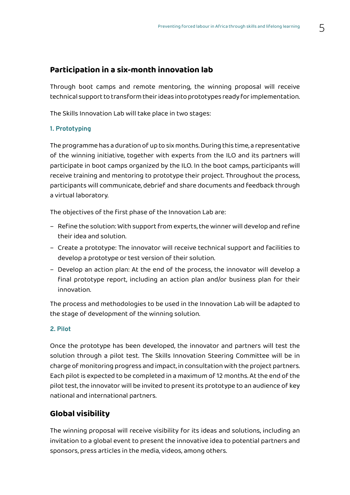## **Participation in a six-month innovation lab**

Through boot camps and remote mentoring, the winning proposal will receive technical support to transform their ideas into prototypes ready for implementation.

The Skills Innovation Lab will take place in two stages:

#### **1. Prototyping**

The programme has a duration of up to six months. During this time, a representative of the winning initiative, together with experts from the ILO and its partners will participate in boot camps organized by the ILO. In the boot camps, participants will receive training and mentoring to prototype their project. Throughout the process, participants will communicate, debrief and share documents and feedback through a virtual laboratory.

The objectives of the first phase of the Innovation Lab are:

- Refine the solution: With support from experts, the winner will develop and refine their idea and solution.
- Create a prototype: The innovator will receive technical support and facilities to develop a prototype or test version of their solution.
- Develop an action plan: At the end of the process, the innovator will develop a final prototype report, including an action plan and/or business plan for their innovation.

The process and methodologies to be used in the Innovation Lab will be adapted to the stage of development of the winning solution.

#### **2. Pilot**

Once the prototype has been developed, the innovator and partners will test the solution through a pilot test. The Skills Innovation Steering Committee will be in charge of monitoring progress and impact, in consultation with the project partners. Each pilot is expected to be completed in a maximum of 12 months. At the end of the pilot test, the innovator will be invited to present its prototype to an audience of key national and international partners.

## **Global visibility**

The winning proposal will receive visibility for its ideas and solutions, including an invitation to a global event to present the innovative idea to potential partners and sponsors, press articles in the media, videos, among others.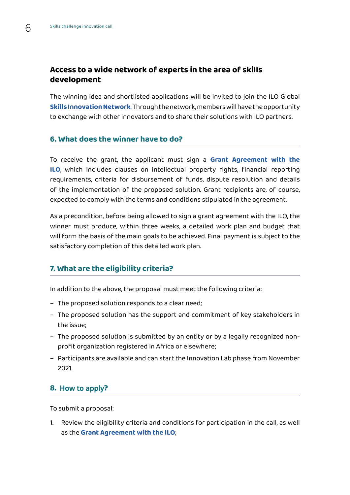## **Access to a wide network of experts in the area of skills development**

The winning idea and shortlisted applications will be invited to join the ILO Global **[Skills Innovation Network](https://www.ilo.org/skills/projects/innovation-facility/innovation-connections/lang--en/index.htm)**. Through the network, members will have the opportunity to exchange with other innovators and to share their solutions with ILO partners.

#### **6. What does the winner have to do?**

To receive the grant, the applicant must sign a **[Grant Agreement with the](https://www.ilo.org/skills/projects/innovation-facility/WCMS_735430/lang--en/index.htm) [ILO](https://www.ilo.org/skills/projects/innovation-facility/WCMS_735430/lang--en/index.htm)**, which includes clauses on intellectual property rights, financial reporting requirements, criteria for disbursement of funds, dispute resolution and details of the implementation of the proposed solution. Grant recipients are, of course, expected to comply with the terms and conditions stipulated in the agreement.

As a precondition, before being allowed to sign a grant agreement with the ILO, the winner must produce, within three weeks, a detailed work plan and budget that will form the basis of the main goals to be achieved. Final payment is subject to the satisfactory completion of this detailed work plan.

### **7. What are the eligibility criteria?**

In addition to the above, the proposal must meet the following criteria:

- The proposed solution responds to a clear need;
- The proposed solution has the support and commitment of key stakeholders in the issue;
- The proposed solution is submitted by an entity or by a legally recognized nonprofit organization registered in Africa or elsewhere;
- Participants are available and can start the Innovation Lab phase from November 2021.

## **8.** How to apply**?**

To submit a proposal:

1. Review the eligibility criteria and conditions for participation in the call, as well as the **[Grant Agreement with the ILO](https://www.ilo.org/skills/projects/innovation-facility/WCMS_735430/lang--en/index.htm)**;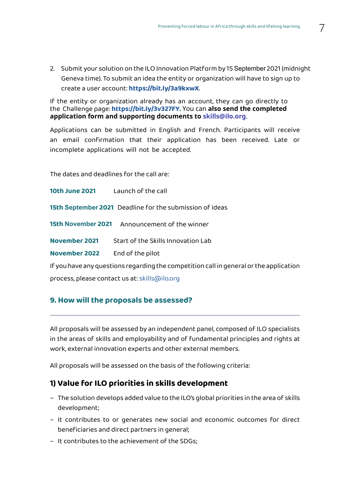2. Submit your solution on the ILO Innovation Platform by 15 September 2021 (midnight Geneva time). To submit an idea the entity or organization will have to sign up to create a user account: **[https://bit.ly/3a9kxwX](https://teamsideas.b2clogin.com/teamsideas.onmicrosoft.com/oauth2/v2.0/authorize?p=b2c_1a_signup_signin_aad&client_id=b91daca9-2caa-4170-9abd-0ff72f970953&redirect_uri=https%3A%2F%2Fapp.teamsideas.com&response_mode=form_post&response_type=code%20id_token&scope=openid%20profile%20offline_access%20https%3A%2F%2Fteamsideas.onmicrosoft.com%2FTeamsIdeasIdeationAPI%2Fread%20https%3A%2F%2Fteamsideas.onmicrosoft.com%2FTeamsIdeasIdeationAPI%2Fwrite&state=OpenIdConnect.AuthenticationProperties%3DjZgL0GfesXtrXQNCMFClvmwnCM1VMrWoWLE5U_MzOvWLN635hFDDpE_dkA_oMqZV2hGr_-xXk4gpHiPVqYrnMWdkARFnDhATw8tujbTQgW6PzRQmuBzEjJYxn90mURpP7tUCZ5kDheZ1qGJrxa8M7UYHWYx_-DdPNQj0Um55Kkq4C3Ifn7obkzs9BdEslppJNZeMXA-SJ9BIRTEUoVIppzeC-Y8a7e3IOeXvz5m9XztN_U70hOUBaCxMLWhNGtUTl4HzseF9lGBZNSX04LLjs5zcKy0klLCs9pjnX5ZZtMca_XOhq5gkP-YSK7q77UQn4z_8Sq272ibxTagShC5tE484VKCIm2xDzAk654zorI4&nonce=637589271897206184.MGYwZWY4ODItNWJlYy00MjM4LThjMTEtNTc1MmFkMGUzNTRlOTA0YTQ3M2YtZjllYi00MzJlLWJmNzUtZGE0ZGVkOGUxMzkw&x-client-SKU=ID_NET451&x-client-ver=5.5.0.0)**.

If the entity or organization already has an account, they can go directly to the Challenge page: **[https://bit.ly/3v327FY.](https://teamsideas.b2clogin.com/teamsideas.onmicrosoft.com/oauth2/v2.0/authorize?p=b2c_1a_signup_signin_aad&client_id=b91daca9-2caa-4170-9abd-0ff72f970953&redirect_uri=https%3A%2F%2Fapp.teamsideas.com&response_mode=form_post&response_type=code%20id_token&scope=openid%20profile%20offline_access%20https%3A%2F%2Fteamsideas.onmicrosoft.com%2FTeamsIdeasIdeationAPI%2Fread%20https%3A%2F%2Fteamsideas.onmicrosoft.com%2FTeamsIdeasIdeationAPI%2Fwrite&state=OpenIdConnect.AuthenticationProperties%3DYgUOHvY8rWErjV2i7WZyh4dvx-kQGic2C0mUAiNVbperF_6Fg8LM43WtLSrD67263qa7ddbA7LgP_DDQ8HiGjtoU4CzictJ3Eh9KclRqC8fw_e_4DAvN1BcczvDJO53S3nCM7xuw4ICtZ1zHffHCuAoei2uZ6qgMJxsZKkXjMJsv03XRP8R2HOvQACgblDfCZbbZ2KeElOnfyQgvxBJCj27XC6zRoe7xVFmPyECeyG2-lOowyjB5cJlVc7a82FNnyXXu5EEmZKx92YolDGuUUkVH1QXikO5LXi1wZfNG5dnH_nnhmoQhorOJWyajtUay&nonce=637589272210708830.NDJlNTllYmEtMDc3My00MjRjLTllYTgtZTUxMjM1Y2M3NTg5NzJhODllMTUtMjAyMy00OTQ2LWE4NWQtNjAzNTk1NTdhZmJi&x-client-SKU=ID_NET451&x-client-ver=5.5.0.0)** You can **also send the completed application form and supporting documents to skills@ilo.org**.

Applications can be submitted in English and French. Participants will receive an email confirmation that their application has been received. Late or incomplete applications will not be accepted.

The dates and deadlines for the call are:

**10th June 2021** Launch of the call

**15th September 2021** Deadline for the submission of ideas

**15th November 2021** Announcement of the winner

**November 2021** Start of the Skills Innovation Lab

**November 2022** End of the pilot

If you have any questions regarding the competition call in general or the application process, please contact us at: skills@ilo.org

### **9. How will the proposals be assessed?**

All proposals will be assessed by an independent panel, composed of ILO specialists in the areas of skills and employability and of fundamental principles and rights at work, external innovation experts and other external members.

All proposals will be assessed on the basis of the following criteria:

### **1) Value for ILO priorities in skills development**

- The solution develops added value to the ILO's global priorities in the area of skills development;
- It contributes to or generates new social and economic outcomes for direct beneficiaries and direct partners in general;
- It contributes to the achievement of the SDGs;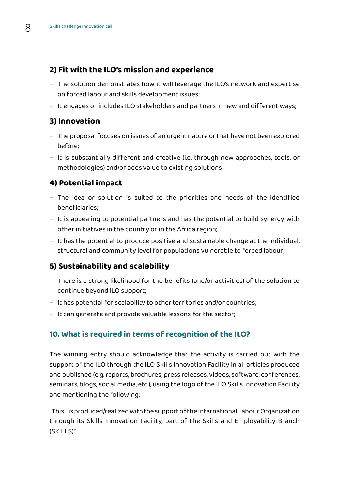## **2) Fit with the ILO's mission and experience**

- The solution demonstrates how it will leverage the ILO's network and expertise on forced labour and skills development issues;
- It engages or includes ILO stakeholders and partners in new and different ways;

## **3) Innovation**

- The proposal focuses on issues of an urgent nature or that have not been explored before;
- It is substantially different and creative (i.e. through new approaches, tools, or methodologies) and/or adds value to existing solutions

## **4) Potential impact**

- The idea or solution is suited to the priorities and needs of the identified beneficiaries;
- It is appealing to potential partners and has the potential to build synergy with other initiatives in the country or in the Africa region;
- It has the potential to produce positive and sustainable change at the individual, structural and community level for populations vulnerable to forced labour;

## **5) Sustainability and scalability**

- There is a strong likelihood for the benefits (and/or activities) of the solution to continue beyond ILO support;
- It has potential for scalability to other territories and/or countries;
- It can generate and provide valuable lessons for the sector;

## **10. What is required in terms of recognition of the ILO?**

The winning entry should acknowledge that the activity is carried out with the support of the ILO through the ILO Skills Innovation Facility in all articles produced and published (e.g. reports, brochures, press releases, videos, software, conferences, seminars, blogs, social media, etc.), using the logo of the ILO Skills Innovation Facility and mentioning the following:

"This... is produced/realized with the support of the International Labour Organization through its Skills Innovation Facility, part of the Skills and Employability Branch (SKILLS)."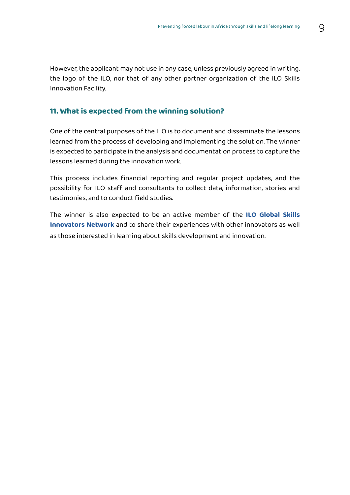However, the applicant may not use in any case, unless previously agreed in writing, the logo of the ILO, nor that of any other partner organization of the ILO Skills Innovation Facility.

#### **11. What is expected from the winning solution?**

One of the central purposes of the ILO is to document and disseminate the lessons learned from the process of developing and implementing the solution. The winner is expected to participate in the analysis and documentation process to capture the lessons learned during the innovation work.

This process includes financial reporting and regular project updates, and the possibility for ILO staff and consultants to collect data, information, stories and testimonies, and to conduct field studies.

The winner is also expected to be an active member of the **[ILO Global Skills](https://www.ilo.org/skills/projects/innovation-facility/innovation-connections/lang--en/index.htm) [Innovators Network](https://www.ilo.org/skills/projects/innovation-facility/innovation-connections/lang--en/index.htm)** and to share their experiences with other innovators as well as those interested in learning about skills development and innovation.